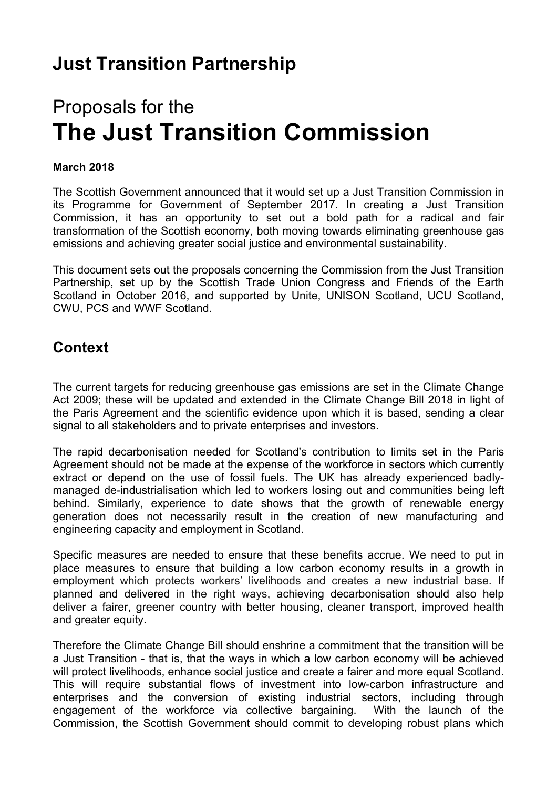# Proposals for the **The Just Transition Commission**

#### **March 2018**

The Scottish Government announced that it would set up a Just Transition Commission in its Programme for Government of September 2017. In creating a Just Transition Commission, it has an opportunity to set out a bold path for a radical and fair transformation of the Scottish economy, both moving towards eliminating greenhouse gas emissions and achieving greater social justice and environmental sustainability.

This document sets out the proposals concerning the Commission from the Just Transition Partnership, set up by the Scottish Trade Union Congress and Friends of the Earth Scotland in October 2016, and supported by Unite, UNISON Scotland, UCU Scotland, CWU, PCS and WWF Scotland.

## **Context**

The current targets for reducing greenhouse gas emissions are set in the Climate Change Act 2009; these will be updated and extended in the Climate Change Bill 2018 in light of the Paris Agreement and the scientific evidence upon which it is based, sending a clear signal to all stakeholders and to private enterprises and investors.

The rapid decarbonisation needed for Scotland's contribution to limits set in the Paris Agreement should not be made at the expense of the workforce in sectors which currently extract or depend on the use of fossil fuels. The UK has already experienced badlymanaged de-industrialisation which led to workers losing out and communities being left behind. Similarly, experience to date shows that the growth of renewable energy generation does not necessarily result in the creation of new manufacturing and engineering capacity and employment in Scotland.

Specific measures are needed to ensure that these benefits accrue. We need to put in place measures to ensure that building a low carbon economy results in a growth in employment which protects workers' livelihoods and creates a new industrial base. If planned and delivered in the right ways, achieving decarbonisation should also help deliver a fairer, greener country with better housing, cleaner transport, improved health and greater equity.

Therefore the Climate Change Bill should enshrine a commitment that the transition will be a Just Transition - that is, that the ways in which a low carbon economy will be achieved will protect livelihoods, enhance social justice and create a fairer and more equal Scotland. This will require substantial flows of investment into low-carbon infrastructure and enterprises and the conversion of existing industrial sectors, including through engagement of the workforce via collective bargaining. With the launch of the Commission, the Scottish Government should commit to developing robust plans which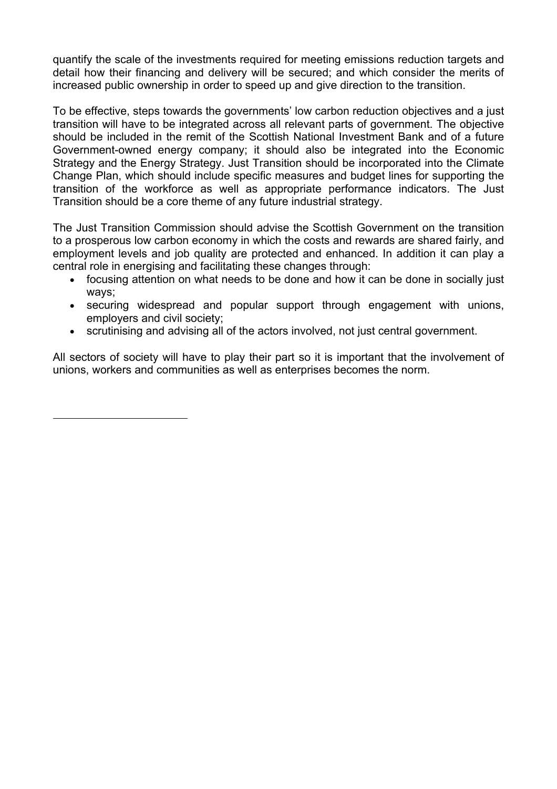quantify the scale of the investments required for meeting emissions reduction targets and detail how their financing and delivery will be secured; and which consider the merits of increased public ownership in order to speed up and give direction to the transition.

To be effective, steps towards the governments' low carbon reduction objectives and a just transition will have to be integrated across all relevant parts of government. The objective should be included in the remit of the Scottish National Investment Bank and of a future Government-owned energy company; it should also be integrated into the Economic Strategy and the Energy Strategy. Just Transition should be incorporated into the Climate Change Plan, which should include specific measures and budget lines for supporting the transition of the workforce as well as appropriate performance indicators. The Just Transition should be a core theme of any future industrial strategy.

The Just Transition Commission should advise the Scottish Government on the transition to a prosperous low carbon economy in which the costs and rewards are shared fairly, and employment levels and job quality are protected and enhanced. In addition it can play a central role in energising and facilitating these changes through:

- focusing attention on what needs to be done and how it can be done in socially just ways;
- securing widespread and popular support through engagement with unions, employers and civil society;
- scrutinising and advising all of the actors involved, not just central government.

All sectors of society will have to play their part so it is important that the involvement of unions, workers and communities as well as enterprises becomes the norm.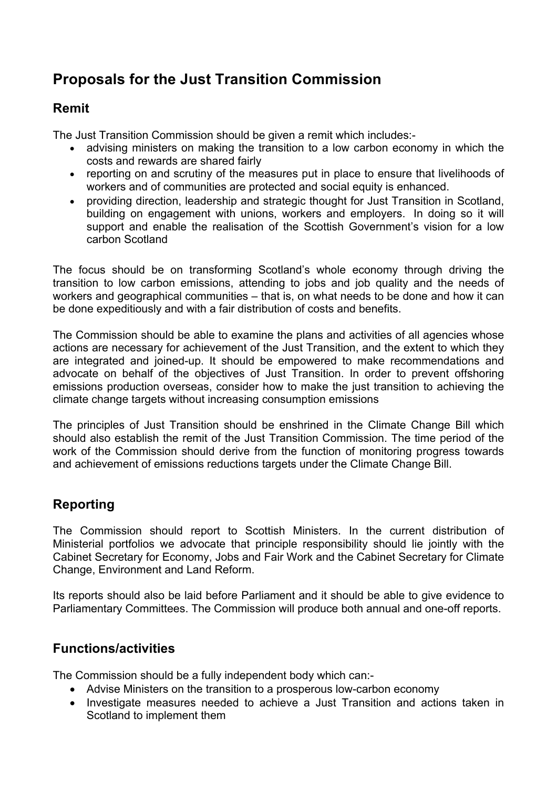## **Proposals for the Just Transition Commission**

## **Remit**

The Just Transition Commission should be given a remit which includes:-

- advising ministers on making the transition to a low carbon economy in which the costs and rewards are shared fairly
- reporting on and scrutiny of the measures put in place to ensure that livelihoods of workers and of communities are protected and social equity is enhanced.
- providing direction, leadership and strategic thought for Just Transition in Scotland, building on engagement with unions, workers and employers. In doing so it will support and enable the realisation of the Scottish Government's vision for a low carbon Scotland

The focus should be on transforming Scotland's whole economy through driving the transition to low carbon emissions, attending to jobs and job quality and the needs of workers and geographical communities – that is, on what needs to be done and how it can be done expeditiously and with a fair distribution of costs and benefits.

The Commission should be able to examine the plans and activities of all agencies whose actions are necessary for achievement of the Just Transition, and the extent to which they are integrated and joined-up. It should be empowered to make recommendations and advocate on behalf of the objectives of Just Transition. In order to prevent offshoring emissions production overseas, consider how to make the just transition to achieving the climate change targets without increasing consumption emissions

The principles of Just Transition should be enshrined in the Climate Change Bill which should also establish the remit of the Just Transition Commission. The time period of the work of the Commission should derive from the function of monitoring progress towards and achievement of emissions reductions targets under the Climate Change Bill.

## **Reporting**

The Commission should report to Scottish Ministers. In the current distribution of Ministerial portfolios we advocate that principle responsibility should lie jointly with the Cabinet Secretary for Economy, Jobs and Fair Work and the Cabinet Secretary for Climate Change, Environment and Land Reform.

Its reports should also be laid before Parliament and it should be able to give evidence to Parliamentary Committees. The Commission will produce both annual and one-off reports.

## **Functions/activities**

The Commission should be a fully independent body which can:-

- Advise Ministers on the transition to a prosperous low-carbon economy
- Investigate measures needed to achieve a Just Transition and actions taken in Scotland to implement them